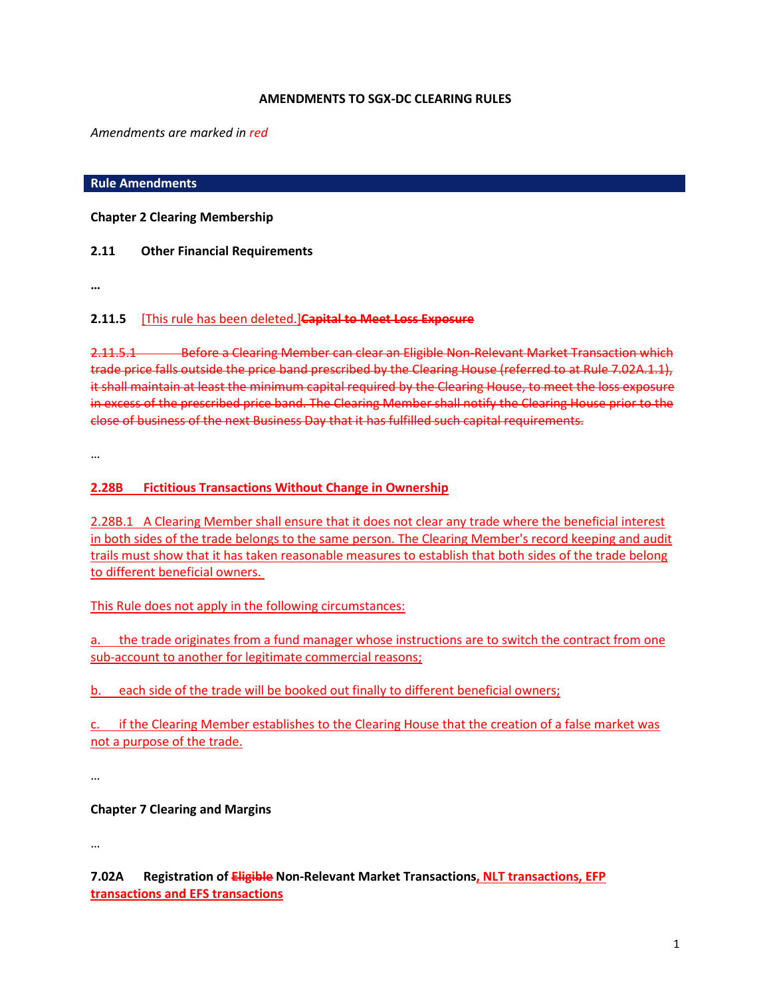### **AMENDMENTS TO SGX-DC CLEARING RULES**

*Amendments are marked in red*

### **Rule Amendments**

**Chapter 2 Clearing Membership**

## **2.11 Other Financial Requirements**

**…**

## **2.11.5** [This rule has been deleted.]**Capital to Meet Loss Exposure**

2.11.5.1 Before a Clearing Member can clear an Eligible Non-Relevant Market Transaction which trade price falls outside the price band prescribed by the Clearing House (referred to at [Rule 7.02A.1.1\)](http://rulebook.sgx.com/en/display/display.html?rbid=3271&element_id=2340), it shall maintain at least the minimum capital required by the Clearing House, to meet the loss exposure in excess of the prescribed price band. The Clearing Member shall notify the Clearing House prior to the close of business of the next Business Day that it has fulfilled such capital requirements.

…

## **2.28B Fictitious Transactions Without Change in Ownership**

2.28B.1 A Clearing Member shall ensure that it does not clear any trade where the beneficial interest in both sides of the trade belongs to the same person. The Clearing Member's record keeping and audit trails must show that it has taken reasonable measures to establish that both sides of the trade belong to different beneficial owners.

This Rule does not apply in the following circumstances:

a. the trade originates from a fund manager whose instructions are to switch the contract from one sub-account to another for legitimate commercial reasons;

b. each side of the trade will be booked out finally to different beneficial owners;

c. if the Clearing Member establishes to the Clearing House that the creation of a false market was not a purpose of the trade.

…

## **Chapter 7 Clearing and Margins**

…

**7.02A Registration of Eligible Non-Relevant Market Transactions, NLT transactions, EFP transactions and EFS transactions**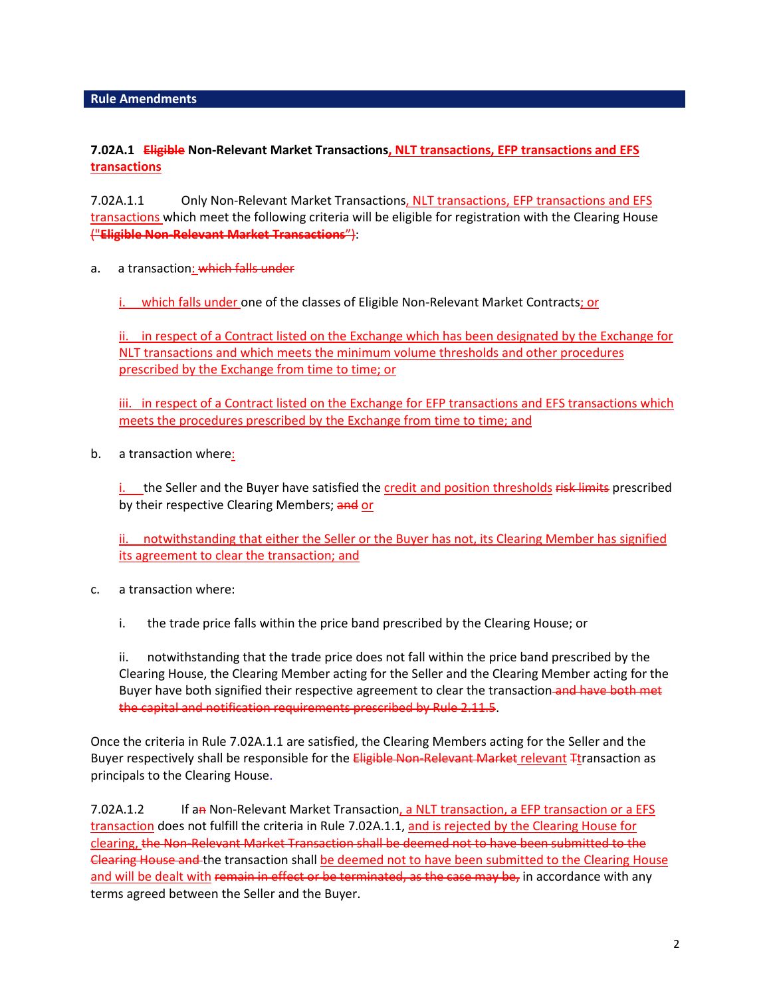## **7.02A.1 Eligible Non-Relevant Market Transactions, NLT transactions, EFP transactions and EFS transactions**

7.02A.1.1 Only Non-Relevant Market Transactions, NLT transactions, EFP transactions and EFS transactions which meet the following criteria will be eligible for registration with the Clearing House ("**Eligible Non-Relevant Market Transactions**"):

a. a transaction: which falls under

i. which falls under one of the classes of Eligible Non-Relevant Market Contracts; or

ii. in respect of a Contract listed on the Exchange which has been designated by the Exchange for NLT transactions and which meets the minimum volume thresholds and other procedures prescribed by the Exchange from time to time; or

iii. in respect of a Contract listed on the Exchange for EFP transactions and EFS transactions which meets the procedures prescribed by the Exchange from time to time; and

b. a transaction where:

i. the Seller and the Buyer have satisfied the credit and position thresholds risk limits prescribed by their respective Clearing Members; and or

ii. notwithstanding that either the Seller or the Buyer has not, its Clearing Member has signified its agreement to clear the transaction; and

- c. a transaction where:
	- i. the trade price falls within the price band prescribed by the Clearing House; or

ii. notwithstanding that the trade price does not fall within the price band prescribed by the Clearing House, the Clearing Member acting for the Seller and the Clearing Member acting for the Buyer have both signified their respective agreement to clear the transaction and have both met the capital and notification requirements prescribed b[y Rule 2.11.5.](http://rulebook.sgx.com/en/display/display.html?rbid=3271&element_id=2026)

Once the criteria in Rule 7.02A.1.1 are satisfied, the Clearing Members acting for the Seller and the Buyer respectively shall be responsible for the Eligible Non-Relevant Market relevant Ttransaction as principals to the Clearing House.

7.02A.1.2 If an Non-Relevant Market Transaction, a NLT transaction, a EFP transaction or a EFS transaction does not fulfill the criteria in Rule 7.02A.1.1, and is rejected by the Clearing House for clearing, the Non-Relevant Market Transaction shall be deemed not to have been submitted to the Clearing House and the transaction shall be deemed not to have been submitted to the Clearing House and will be dealt with remain in effect or be terminated, as the case may be, in accordance with any terms agreed between the Seller and the Buyer.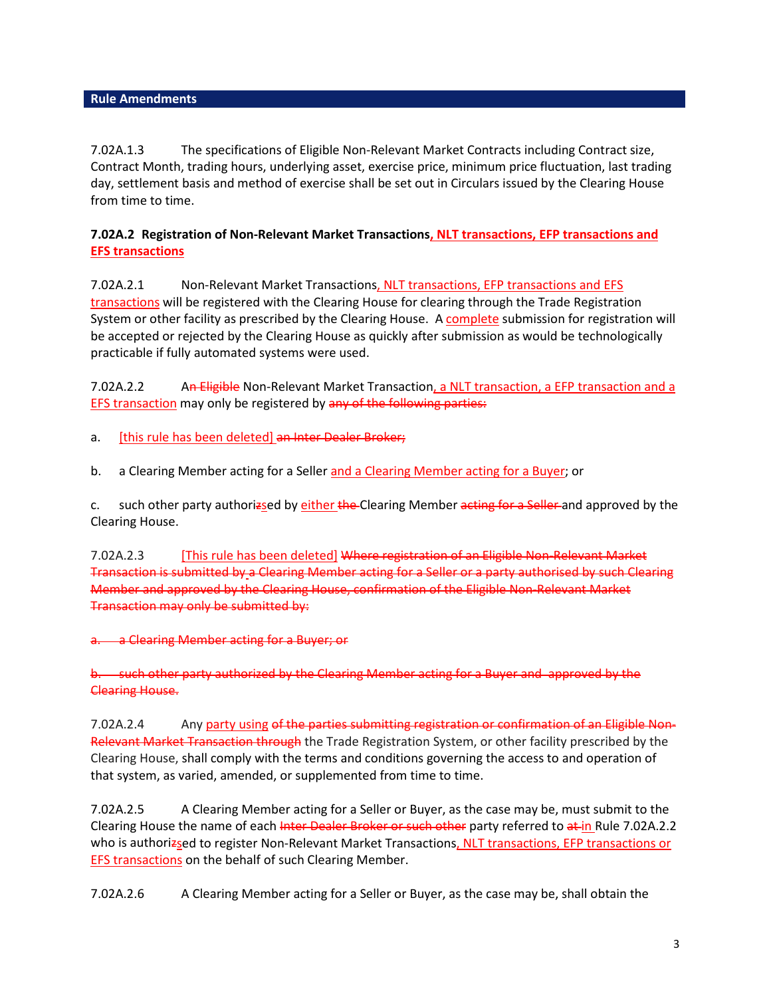7.02A.1.3 The specifications of Eligible Non-Relevant Market Contracts including Contract size, Contract Month, trading hours, underlying asset, exercise price, minimum price fluctuation, last trading day, settlement basis and method of exercise shall be set out in Circulars issued by the Clearing House from time to time.

## **7.02A.2 Registration of Non-Relevant Market Transactions, NLT transactions, EFP transactions and EFS transactions**

7.02A.2.1 Non-Relevant Market Transactions, NLT transactions, EFP transactions and EFS transactions will be registered with the Clearing House for clearing through the Trade Registration System or other facility as prescribed by the Clearing House. A complete submission for registration will be accepted or rejected by the Clearing House as quickly after submission as would be technologically practicable if fully automated systems were used.

7.02A.2.2 An Eligible Non-Relevant Market Transaction, a NLT transaction, a EFP transaction and a EFS transaction may only be registered by any of the following parties:

a. [this rule has been deleted] an Inter Dealer Broker;

b. a Clearing Member acting for a Seller and a Clearing Member acting for a Buyer; or

c. such other party authorizsed by either the Clearing Member acting for a Seller and approved by the Clearing House.

7.02A.2.3 [This rule has been deleted] Where registration of an Eligible Non-Relevant Market Transaction is submitted by a Clearing Member acting for a Seller or a party authorised by such Clearing Member and approved by the Clearing House, confirmation of the Eligible Non-Relevant Market Transaction may only be submitted by:

a. a Clearing Member acting for a Buyer; or

b. such other party authorized by the Clearing Member acting for a Buyer and approved by the Clearing House.

7.02A.2.4 Any party using of the parties submitting registration or confirmation of an Eligible Non-Relevant Market Transaction through the Trade Registration System, or other facility prescribed by the Clearing House, shall comply with the terms and conditions governing the access to and operation of that system, as varied, amended, or supplemented from time to time.

7.02A.2.5 A Clearing Member acting for a Seller or Buyer, as the case may be, must submit to the Clearing House the name of each Inter Dealer Broker or such other party referred to at in Rule 7.02A.2.2 who is authorizsed to register Non-Relevant Market Transactions, NLT transactions, EFP transactions or EFS transactions on the behalf of such Clearing Member.

7.02A.2.6 A Clearing Member acting for a Seller or Buyer, as the case may be, shall obtain the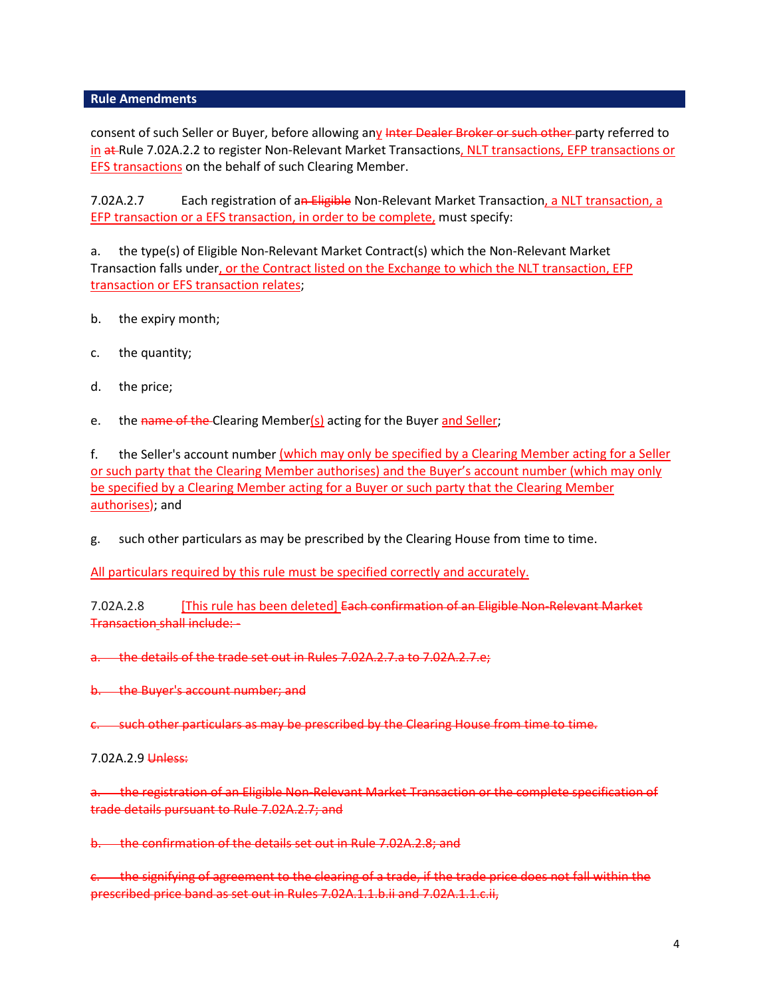consent of such Seller or Buyer, before allowing any Inter Dealer Broker or such other party referred to in at Rule 7.02A.2.2 to register Non-Relevant Market Transactions, NLT transactions, EFP transactions or EFS transactions on the behalf of such Clearing Member.

7.02A.2.7 Each registration of an Eligible Non-Relevant Market Transaction, a NLT transaction, a EFP transaction or a EFS transaction, in order to be complete, must specify:

a. the type(s) of Eligible Non-Relevant Market Contract(s) which the Non-Relevant Market Transaction falls under, or the Contract listed on the Exchange to which the NLT transaction, EFP transaction or EFS transaction relates;

- b. the expiry month;
- c. the quantity;
- d. the price;
- e. the name of the Clearing Member(s) acting for the Buyer and Seller;

f. the Seller's account number (which may only be specified by a Clearing Member acting for a Seller or such party that the Clearing Member authorises) and the Buyer's account number (which may only be specified by a Clearing Member acting for a Buyer or such party that the Clearing Member authorises); and

g. such other particulars as may be prescribed by the Clearing House from time to time.

All particulars required by this rule must be specified correctly and accurately.

7.02A.2.8 [This rule has been deleted] Each confirmation of an Eligible Non-Relevant Market Transaction shall include: -

a. the details of the trade set out in Rules 7.02A.2.7.a to 7.02A.2.7.e;

b. the Buyer's account number; and

c. such other particulars as may be prescribed by the Clearing House from time to time.

7.02A.2.9 Unless:

a. the registration of an Eligible Non-Relevant Market Transaction or the complete specification of trade details pursuant to Rule 7.02A.2.7; and

b. the confirmation of the details set out in Rule 7.02A.2.8; and

c. the signifying of agreement to the clearing of a trade, if the trade price does not fall within the prescribed price band as set out in Rul[es 7.02A.1.1.b.ii and 7.02A.1.1.](http://rulebook.sgx.com/en/display/display.html?rbid=3271&element_id=2340)c.ii,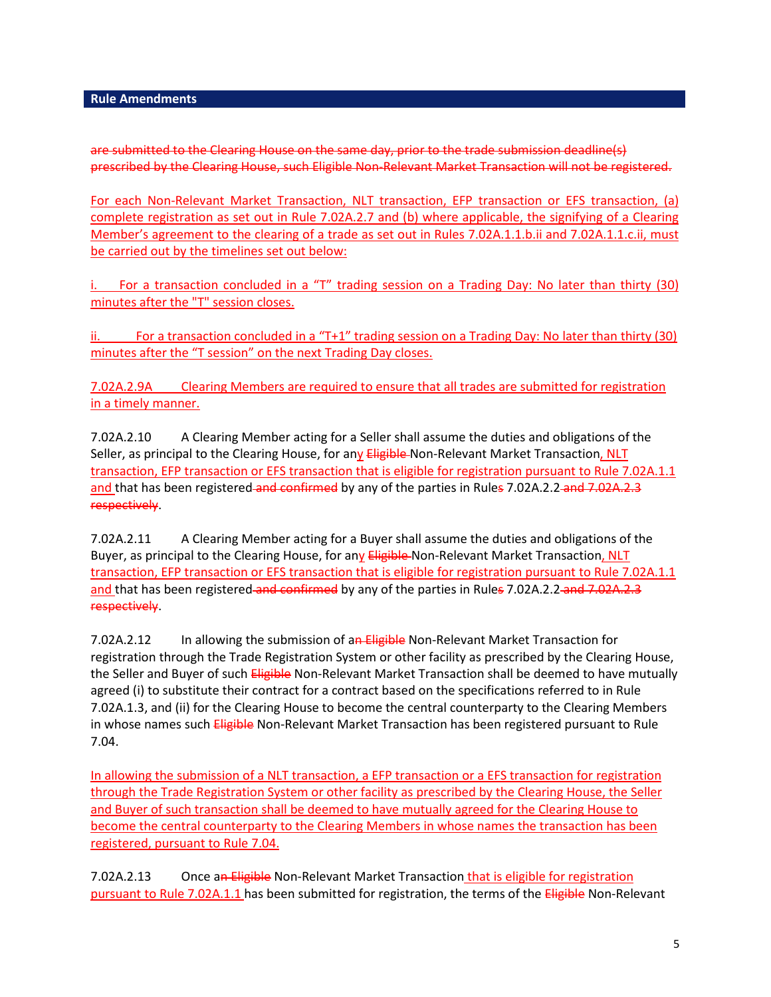are submitted to the Clearing House on the same day, prior to the trade submission deadline(s) prescribed by the Clearing House, such Eligible Non-Relevant Market Transaction will not be registered.

For each Non-Relevant Market Transaction, NLT transaction, EFP transaction or EFS transaction, (a) complete registration as set out in Rule 7.02A.2.7 and (b) where applicable, the signifying of a Clearing Member's agreement to the clearing of a trade as set out in Rules 7.02A.1.1.b.ii and 7.02A.1.1.c.ii, must be carried out by the timelines set out below:

i. For a transaction concluded in a "T" trading session on a Trading Day: No later than thirty (30) minutes after the "T" session closes.

ii. For a transaction concluded in a "T+1" trading session on a Trading Day: No later than thirty (30) minutes after the "T session" on the next Trading Day closes.

7.02A.2.9A Clearing Members are required to ensure that all trades are submitted for registration in a timely manner.

7.02A.2.10 A Clearing Member acting for a Seller shall assume the duties and obligations of the Seller, as principal to the Clearing House, for any Eligible Non-Relevant Market Transaction, NLT transaction, EFP transaction or EFS transaction that is eligible for registration pursuant to Rule 7.02A.1.1 and that has been registered and confirmed by any of the parties in Rules 7.02A.2.2 and 7.02A.2.3 respectively.

7.02A.2.11 A Clearing Member acting for a Buyer shall assume the duties and obligations of the Buyer, as principal to the Clearing House, for any Eligible Non-Relevant Market Transaction, NLT transaction, EFP transaction or EFS transaction that is eligible for registration pursuant to Rule 7.02A.1.1 and that has been registered and confirmed by any of the parties in Rules 7.02A.2.2 and 7.02A.2.3 respectively.

7.02A.2.12 In allowing the submission of an Eligible Non-Relevant Market Transaction for registration through the Trade Registration System or other facility as prescribed by the Clearing House, the Seller and Buyer of such Eligible Non-Relevant Market Transaction shall be deemed to have mutually agreed (i) to substitute their contract for a contract based on the specifications referred to in [Rule](http://rulebook.sgx.com/en/display/display.html?rbid=3271&element_id=2340)  [7.02A.1.3,](http://rulebook.sgx.com/en/display/display.html?rbid=3271&element_id=2340) and (ii) for the Clearing House to become the central counterparty to the Clearing Members in whose names such Eligible Non-Relevant Market Transaction has been registered pursuant to Rule [7.04.](http://rulebook.sgx.com/en/display/display.html?rbid=3271&element_id=2362)

In allowing the submission of a NLT transaction, a EFP transaction or a EFS transaction for registration through the Trade Registration System or other facility as prescribed by the Clearing House, the Seller and Buyer of such transaction shall be deemed to have mutually agreed for the Clearing House to become the central counterparty to the Clearing Members in whose names the transaction has been registered, pursuant t[o Rule 7.04.](http://rulebook.sgx.com/en/display/display.html?rbid=3271&element_id=2362)

7.02A.2.13 Once an Eligible Non-Relevant Market Transaction that is eligible for registration pursuant to Rule 7.02A.1.1 has been submitted for registration, the terms of the *Eligible* Non-Relevant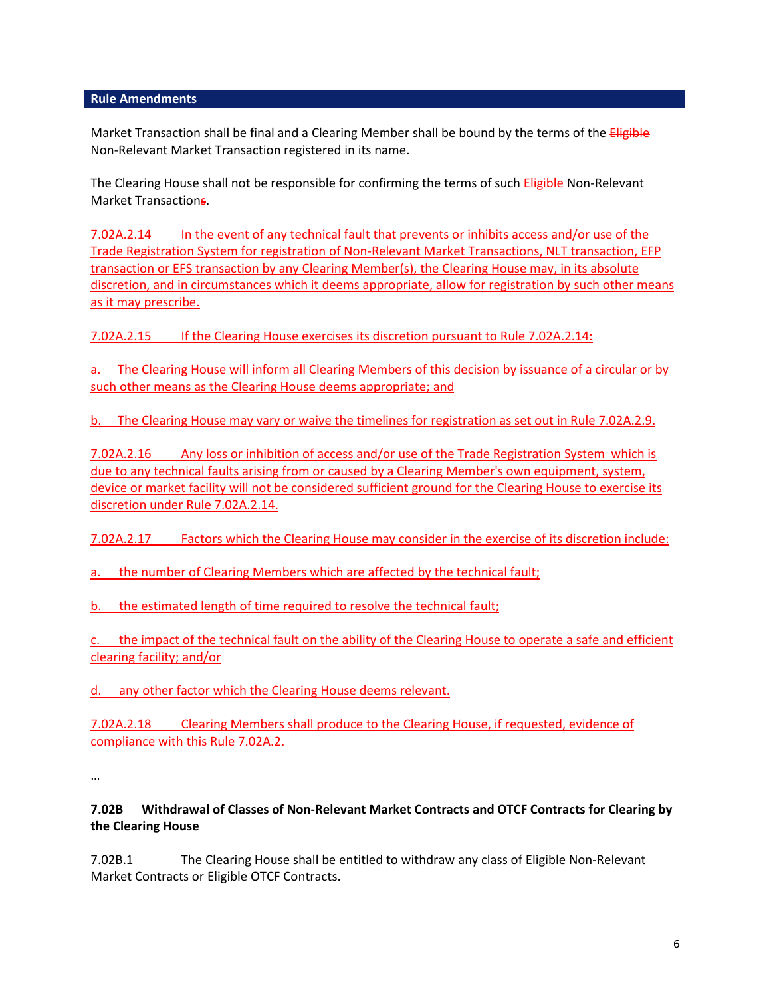Market Transaction shall be final and a Clearing Member shall be bound by the terms of the *Eligible* Non-Relevant Market Transaction registered in its name.

The Clearing House shall not be responsible for confirming the terms of such Eligible Non-Relevant Market Transactions.

7.02A.2.14 In the event of any technical fault that prevents or inhibits access and/or use of the Trade Registration System for registration of Non-Relevant Market Transactions, NLT transaction, EFP transaction or EFS transaction by any Clearing Member(s), the Clearing House may, in its absolute discretion, and in circumstances which it deems appropriate, allow for registration by such other means as it may prescribe.

7.02A.2.15 If the Clearing House exercises its discretion pursuant to Rule 7.02A.2.14:

a. The Clearing House will inform all Clearing Members of this decision by issuance of a circular or by such other means as the Clearing House deems appropriate; and

b. The Clearing House may vary or waive the timelines for registration as set out in Rule 7.02A.2.9.

7.02A.2.16 Any loss or inhibition of access and/or use of the Trade Registration System which is due to any technical faults arising from or caused by a Clearing Member's own equipment, system, device or market facility will not be considered sufficient ground for the Clearing House to exercise its discretion under Rule 7.02A.2.14.

7.02A.2.17 Factors which the Clearing House may consider in the exercise of its discretion include:

a. the number of Clearing Members which are affected by the technical fault;

b. the estimated length of time required to resolve the technical fault;

c. the impact of the technical fault on the ability of the Clearing House to operate a safe and efficient clearing facility; and/or

d. any other factor which the Clearing House deems relevant.

7.02A.2.18 Clearing Members shall produce to the Clearing House, if requested, evidence of compliance with this Rule 7.02A.2.

…

**7.02B Withdrawal of Classes of Non-Relevant Market Contracts and OTCF Contracts for Clearing by the Clearing House**

7.02B.1 The Clearing House shall be entitled to withdraw any class of Eligible Non-Relevant Market Contracts or Eligible OTCF Contracts.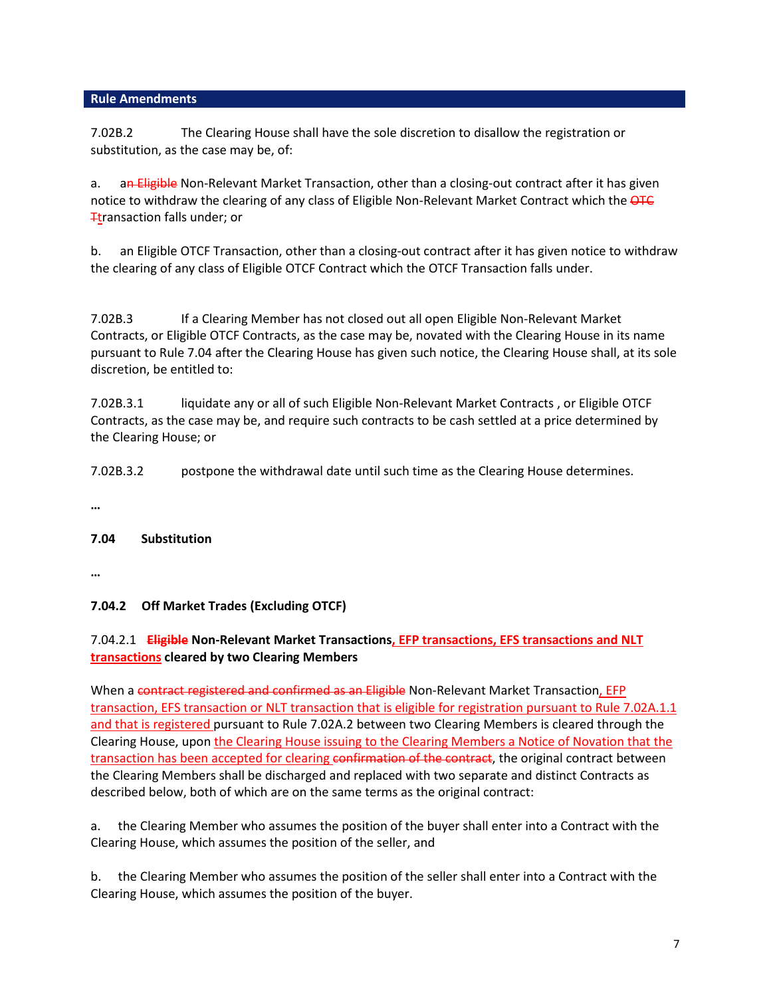7.02B.2 The Clearing House shall have the sole discretion to disallow the registration or substitution, as the case may be, of:

a. an Eligible Non-Relevant Market Transaction, other than a closing-out contract after it has given notice to withdraw the clearing of any class of Eligible Non-Relevant Market Contract which the OTC **T**transaction falls under; or

b. an Eligible OTCF Transaction, other than a closing-out contract after it has given notice to withdraw the clearing of any class of Eligible OTCF Contract which the OTCF Transaction falls under.

7.02B.3 If a Clearing Member has not closed out all open Eligible Non-Relevant Market Contracts, or Eligible OTCF Contracts, as the case may be, novated with the Clearing House in its name pursuant to Rule 7.04 after the Clearing House has given such notice, the Clearing House shall, at its sole discretion, be entitled to:

7.02B.3.1 liquidate any or all of such Eligible Non-Relevant Market Contracts , or Eligible OTCF Contracts, as the case may be, and require such contracts to be cash settled at a price determined by the Clearing House; or

7.02B.3.2 postpone the withdrawal date until such time as the Clearing House determines.

**…**

## **7.04 Substitution**

**…**

## **7.04.2 Off Market Trades (Excluding OTCF)**

## 7.04.2.1 **Eligible Non-Relevant Market Transactions, EFP transactions, EFS transactions and NLT transactions cleared by two Clearing Members**

When a contract registered and confirmed as an Eligible Non-Relevant Market Transaction, EFP transaction, EFS transaction or NLT transaction that is eligible for registration pursuant to Rule 7.02A.1.1 and that is registered pursuant to Rule 7.02A.2 between two Clearing Members is cleared through the Clearing House, upon the Clearing House issuing to the Clearing Members a Notice of Novation that the transaction has been accepted for clearing confirmation of the contract, the original contract between the Clearing Members shall be discharged and replaced with two separate and distinct Contracts as described below, both of which are on the same terms as the original contract:

a. the Clearing Member who assumes the position of the buyer shall enter into a Contract with the Clearing House, which assumes the position of the seller, and

b. the Clearing Member who assumes the position of the seller shall enter into a Contract with the Clearing House, which assumes the position of the buyer.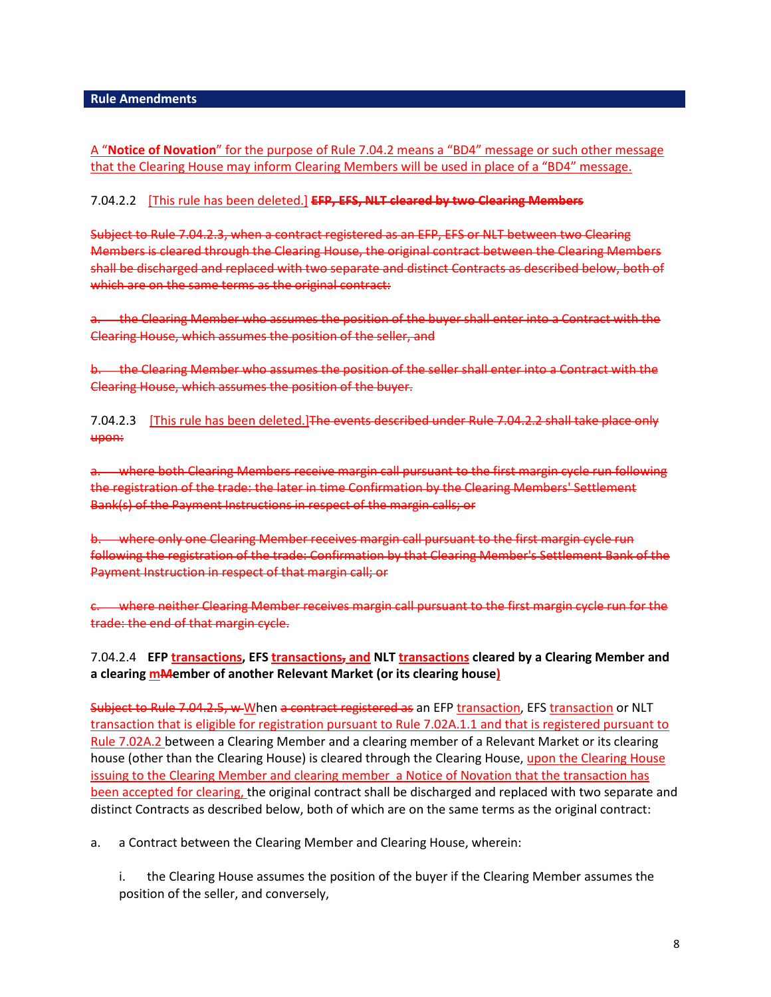## A "**Notice of Novation**" for the purpose of Rule 7.04.2 means a "BD4" message or such other message that the Clearing House may inform Clearing Members will be used in place of a "BD4" message.

### 7.04.2.2 [This rule has been deleted.] **EFP, EFS, NLT cleared by two Clearing Members**

Subject to Rule 7.04.2.3, when a contract registered as an EFP, EFS or NLT between two Clearing Members is cleared through the Clearing House, the original contract between the Clearing Members shall be discharged and replaced with two separate and distinct Contracts as described below, both of which are on the same terms as the original contract:

the Clearing Member who assumes the position of the buyer shall enter into a Contract with the Clearing House, which assumes the position of the seller, and

b. the Clearing Member who assumes the position of the seller shall enter into a Contract with the Clearing House, which assumes the position of the buyer.

7.04.2.3 [This rule has been deleted.] The events described under Rule 7.04.2.2 shall take place only upon:

a. where both Clearing Members receive margin call pursuant to the first margin cycle run following the registration of the trade: the later in time Confirmation by the Clearing Members' Settlement Bank(s) of the Payment Instructions in respect of the margin calls; or

b. where only one Clearing Member receives margin call pursuant to the first margin cycle run following the registration of the trade: Confirmation by that Clearing Member's Settlement Bank of the Payment Instruction in respect of that margin call; or

c. where neither Clearing Member receives margin call pursuant to the first margin cycle run for the trade: the end of that margin cycle.

## 7.04.2.4 **EFP transactions, EFS transactions, and NLT transactions cleared by a Clearing Member and a clearing mMember of another Relevant Market (or its clearing house)**

Subject to Rule 7.04.2.5, w When a contract registered as an EFP transaction, EFS transaction or NLT transaction that is eligible for registration pursuant to Rule 7.02A.1.1 and that is registered pursuant to Rule 7.02A.2 between a Clearing Member and a clearing member of a Relevant Market or its clearing house (other than the Clearing House) is cleared through the Clearing House, upon the Clearing House issuing to the Clearing Member and clearing member a Notice of Novation that the transaction has been accepted for clearing, the original contract shall be discharged and replaced with two separate and distinct Contracts as described below, both of which are on the same terms as the original contract:

a. a Contract between the Clearing Member and Clearing House, wherein:

i. the Clearing House assumes the position of the buyer if the Clearing Member assumes the position of the seller, and conversely,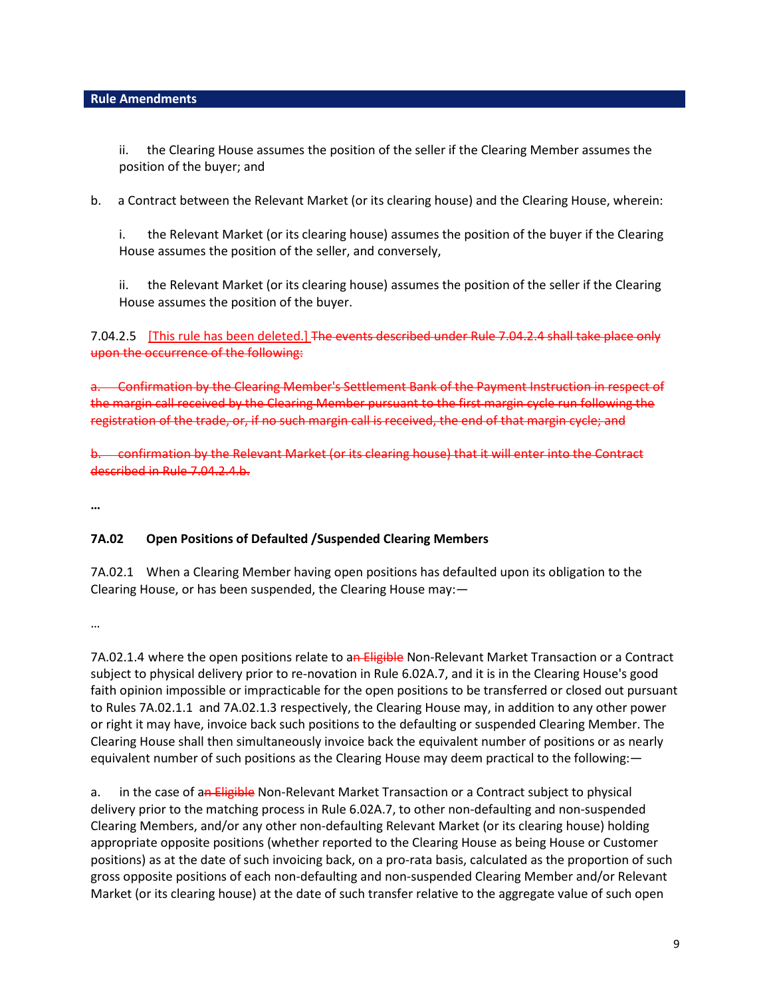ii. the Clearing House assumes the position of the seller if the Clearing Member assumes the position of the buyer; and

b. a Contract between the Relevant Market (or its clearing house) and the Clearing House, wherein:

i. the Relevant Market (or its clearing house) assumes the position of the buyer if the Clearing House assumes the position of the seller, and conversely,

ii. the Relevant Market (or its clearing house) assumes the position of the seller if the Clearing House assumes the position of the buyer.

7.04.2.5 [This rule has been deleted.] The events described under Rule 7.04.2.4 shall take place only upon the occurrence of the following:

a. Confirmation by the Clearing Member's Settlement Bank of the Payment Instruction in respect of the margin call received by the Clearing Member pursuant to the first margin cycle run following the registration of the trade, or, if no such margin call is received, the end of that margin cycle; and

b. confirmation by the Relevant Market (or its clearing house) that it will enter into the Contract described in Rule 7.04.2.4.b.

**…**

## **7A.02 Open Positions of Defaulted /Suspended Clearing Members**

7A.02.1 When a Clearing Member having open positions has defaulted upon its obligation to the Clearing House, or has been suspended, the Clearing House may:—

…

7A.02.1.4 where the open positions relate to an Eligible Non-Relevant Market Transaction or a Contract subject to physical delivery prior to re-novation in Rule 6.02A.7, and it is in the Clearing House's good faith opinion impossible or impracticable for the open positions to be transferred or closed out pursuant to Rules 7A.02.1.1 and 7A.02.1.3 respectively, the Clearing House may, in addition to any other power or right it may have, invoice back such positions to the defaulting or suspended Clearing Member. The Clearing House shall then simultaneously invoice back the equivalent number of positions or as nearly equivalent number of such positions as the Clearing House may deem practical to the following:—

a. in the case of an Eligible Non-Relevant Market Transaction or a Contract subject to physical delivery prior to the matching process in Rule 6.02A.7, to other non-defaulting and non-suspended Clearing Members, and/or any other non-defaulting Relevant Market (or its clearing house) holding appropriate opposite positions (whether reported to the Clearing House as being House or Customer positions) as at the date of such invoicing back, on a pro-rata basis, calculated as the proportion of such gross opposite positions of each non-defaulting and non-suspended Clearing Member and/or Relevant Market (or its clearing house) at the date of such transfer relative to the aggregate value of such open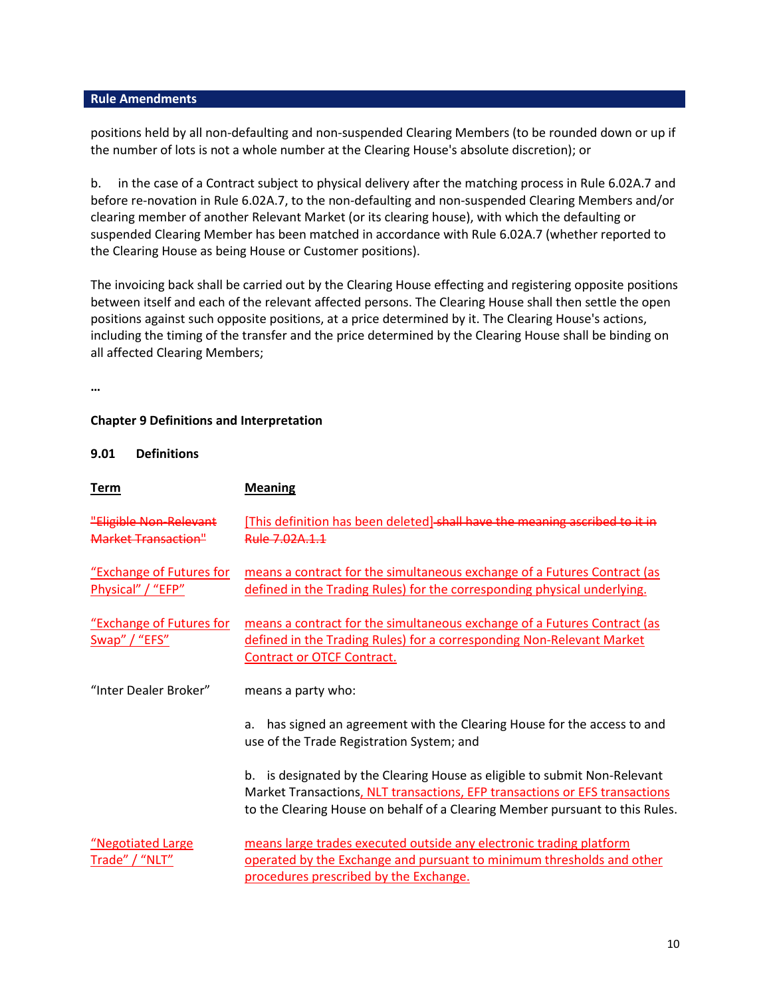positions held by all non-defaulting and non-suspended Clearing Members (to be rounded down or up if the number of lots is not a whole number at the Clearing House's absolute discretion); or

b. in the case of a Contract subject to physical delivery after the matching process in Rule 6.02A.7 and before re-novation in Rule 6.02A.7, to the non-defaulting and non-suspended Clearing Members and/or clearing member of another Relevant Market (or its clearing house), with which the defaulting or suspended Clearing Member has been matched in accordance with Rule 6.02A.7 (whether reported to the Clearing House as being House or Customer positions).

The invoicing back shall be carried out by the Clearing House effecting and registering opposite positions between itself and each of the relevant affected persons. The Clearing House shall then settle the open positions against such opposite positions, at a price determined by it. The Clearing House's actions, including the timing of the transfer and the price determined by the Clearing House shall be binding on all affected Clearing Members;

**…**

### **Chapter 9 Definitions and Interpretation**

#### **9.01 Definitions**

| <u>Term</u>                                   | <b>Meaning</b>                                                                                                                                                                                                                              |  |  |  |  |  |
|-----------------------------------------------|---------------------------------------------------------------------------------------------------------------------------------------------------------------------------------------------------------------------------------------------|--|--|--|--|--|
| "Eligible Non-Relevant<br>Market Transaction" | [This definition has been deleted] shall have the meaning ascribed to it in<br>Rule 7.02A.1.1                                                                                                                                               |  |  |  |  |  |
| "Exchange of Futures for<br>Physical" / "EFP" | means a contract for the simultaneous exchange of a Futures Contract (as<br>defined in the Trading Rules) for the corresponding physical underlying.                                                                                        |  |  |  |  |  |
| "Exchange of Futures for<br>Swap" / "EFS"     | means a contract for the simultaneous exchange of a Futures Contract (as<br>defined in the Trading Rules) for a corresponding Non-Relevant Market<br><b>Contract or OTCF Contract.</b>                                                      |  |  |  |  |  |
| "Inter Dealer Broker"                         | means a party who:                                                                                                                                                                                                                          |  |  |  |  |  |
|                                               | has signed an agreement with the Clearing House for the access to and<br>a.<br>use of the Trade Registration System; and                                                                                                                    |  |  |  |  |  |
|                                               | is designated by the Clearing House as eligible to submit Non-Relevant<br>b.<br>Market Transactions, NLT transactions, EFP transactions or EFS transactions<br>to the Clearing House on behalf of a Clearing Member pursuant to this Rules. |  |  |  |  |  |
| "Negotiated Large<br>Trade" / "NLT"           | means large trades executed outside any electronic trading platform<br>operated by the Exchange and pursuant to minimum thresholds and other<br>procedures prescribed by the Exchange.                                                      |  |  |  |  |  |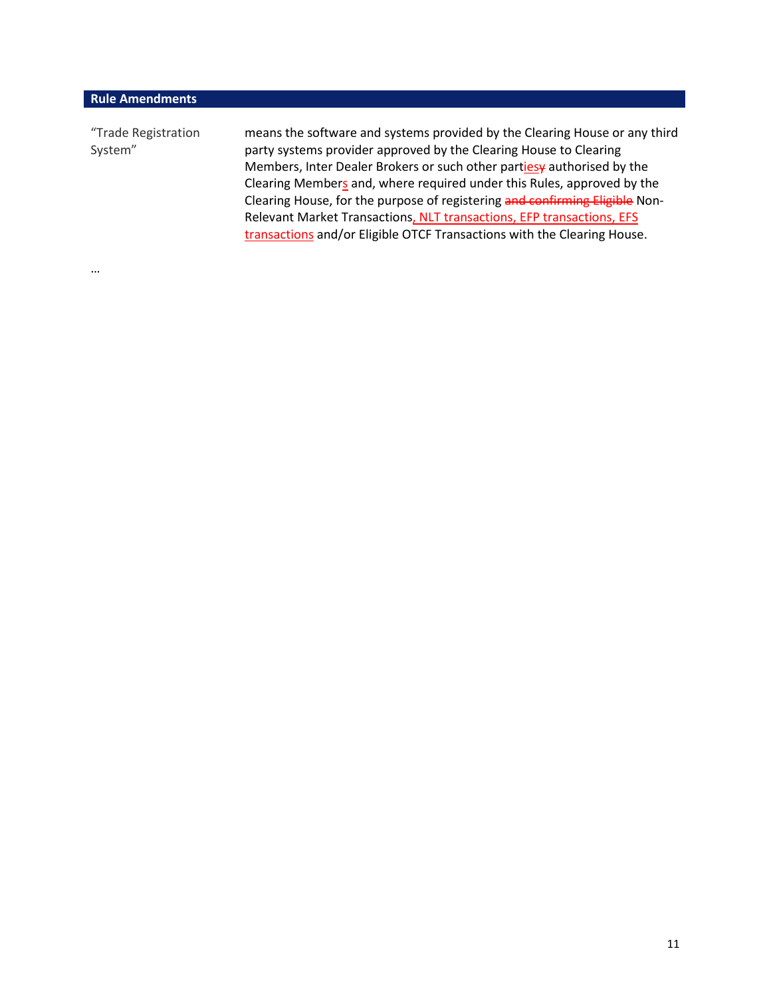…

| "Trade Registration<br>System" | means the software and systems provided by the Clearing House or any third<br>party systems provider approved by the Clearing House to Clearing<br>Members, Inter Dealer Brokers or such other partiesy authorised by the<br>Clearing Members and, where required under this Rules, approved by the<br>Clearing House, for the purpose of registering and confirming Eligible Non-<br>Relevant Market Transactions, NLT transactions, EFP transactions, EFS<br>transactions and/or Eligible OTCF Transactions with the Clearing House. |
|--------------------------------|----------------------------------------------------------------------------------------------------------------------------------------------------------------------------------------------------------------------------------------------------------------------------------------------------------------------------------------------------------------------------------------------------------------------------------------------------------------------------------------------------------------------------------------|
|                                |                                                                                                                                                                                                                                                                                                                                                                                                                                                                                                                                        |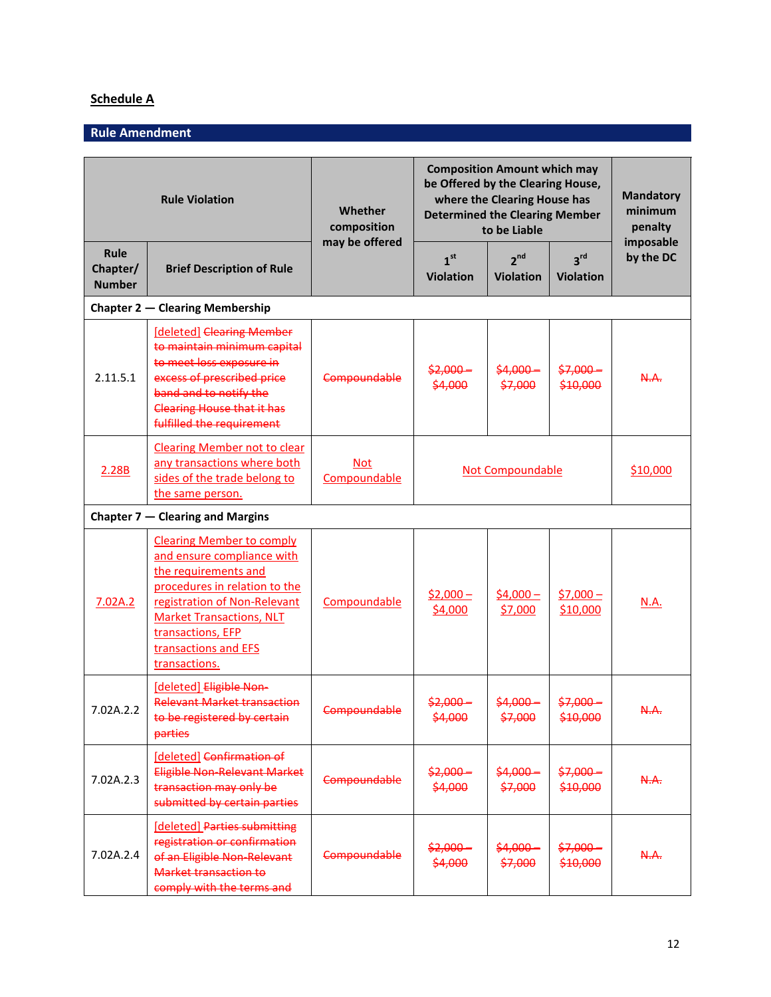# **Schedule A**

# **Rule Amendment**

| <b>Rule Violation</b>                  |                                                                                                                                                                                                                                                          | Whether<br>composition     | <b>Composition Amount which may</b><br>be Offered by the Clearing House,<br>where the Clearing House has<br><b>Determined the Clearing Member</b><br>to be Liable |                                     |                                     | <b>Mandatory</b><br>minimum<br>penalty |  |  |  |
|----------------------------------------|----------------------------------------------------------------------------------------------------------------------------------------------------------------------------------------------------------------------------------------------------------|----------------------------|-------------------------------------------------------------------------------------------------------------------------------------------------------------------|-------------------------------------|-------------------------------------|----------------------------------------|--|--|--|
| Rule<br>Chapter/<br><b>Number</b>      | <b>Brief Description of Rule</b>                                                                                                                                                                                                                         | may be offered             | 1 <sup>st</sup><br><b>Violation</b>                                                                                                                               | 2 <sup>nd</sup><br><b>Violation</b> | 3 <sup>rd</sup><br><b>Violation</b> | imposable<br>by the DC                 |  |  |  |
| <b>Chapter 2 – Clearing Membership</b> |                                                                                                                                                                                                                                                          |                            |                                                                                                                                                                   |                                     |                                     |                                        |  |  |  |
| 2.11.5.1                               | [deleted] Clearing Member<br>to maintain minimum capital<br>to meet loss exposure in<br>excess of prescribed price<br>band and to notify the<br><b>Clearing House that it has</b><br>fulfilled the requirement                                           | <b>Compoundable</b>        | $$2,000-$<br>\$4,000                                                                                                                                              | $$4,000-$<br>\$7,000                | $$7,000-$<br>\$10,000               | A.A.                                   |  |  |  |
| 2.28B                                  | <b>Clearing Member not to clear</b><br>any transactions where both<br>sides of the trade belong to<br>the same person.                                                                                                                                   | <b>Not</b><br>Compoundable | <b>Not Compoundable</b>                                                                                                                                           |                                     | \$10,000                            |                                        |  |  |  |
|                                        | Chapter $7$ – Clearing and Margins                                                                                                                                                                                                                       |                            |                                                                                                                                                                   |                                     |                                     |                                        |  |  |  |
| 7.02A.2                                | <b>Clearing Member to comply</b><br>and ensure compliance with<br>the requirements and<br>procedures in relation to the<br>registration of Non-Relevant<br><b>Market Transactions, NLT</b><br>transactions, EFP<br>transactions and EFS<br>transactions. | Compoundable               | $$2,000-$<br>\$4,000                                                                                                                                              | $$4,000-$<br>\$7,000                | $$7,000-$<br>\$10,000               | <u>N.A.</u>                            |  |  |  |
| 7.02A.2.2                              | [deleted] Eligible Non-<br><b>Relevant Market transaction</b><br>to be registered by certain<br>parties                                                                                                                                                  | Compoundable               | $$2,000-$<br>\$4,000                                                                                                                                              | $$4,000-$<br>\$7,000                | <del>\$7,000 –</del><br>\$10,000    | <del>N.A.</del>                        |  |  |  |
| 7.02A.2.3                              | [deleted] Confirmation of<br>Eligible Non-Relevant Market<br>transaction may only be<br>submitted by certain parties                                                                                                                                     | <b>Compoundable</b>        | $$2,000-$<br>\$4,000                                                                                                                                              | $$4,000-$<br>\$7,000                | $$7,000 -$<br>\$10,000              | A.A.                                   |  |  |  |
| 7.02A.2.4                              | [deleted] Parties submitting<br>registration or confirmation<br>of an Eligible Non-Relevant<br>Market transaction to<br>comply with the terms and                                                                                                        | <b>Compoundable</b>        | $$2,000-$<br>\$4,000                                                                                                                                              | $$4,000-$<br>\$7,000                | $$7,000 -$<br>\$10,000              | A.A.                                   |  |  |  |